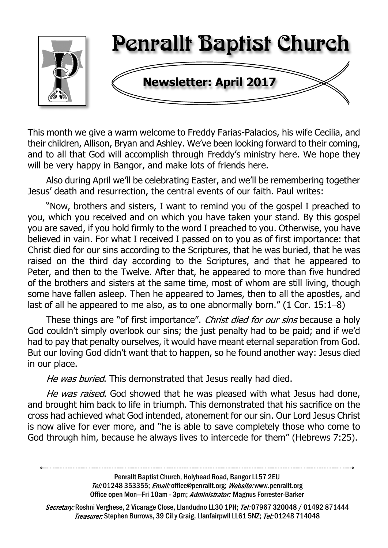

This month we give a warm welcome to Freddy Farias-Palacios, his wife Cecilia, and their children, Allison, Bryan and Ashley. We've been looking forward to their coming, and to all that God will accomplish through Freddy's ministry here. We hope they will be very happy in Bangor, and make lots of friends here.

Also during April we'll be celebrating Easter, and we'll be remembering together Jesus' death and resurrection, the central events of our faith. Paul writes:

"Now, brothers and sisters, I want to remind you of the gospel I preached to you, which you received and on which you have taken your stand. By this gospel you are saved, if you hold firmly to the word I preached to you. Otherwise, you have believed in vain. For what I received I passed on to you as of first importance: that Christ died for our sins according to the Scriptures, that he was buried, that he was raised on the third day according to the Scriptures, and that he appeared to Peter, and then to the Twelve. After that, he appeared to more than five hundred of the brothers and sisters at the same time, most of whom are still living, though some have fallen asleep. Then he appeared to James, then to all the apostles, and last of all he appeared to me also, as to one abnormally born." (1 Cor. 15:1–8)

These things are "of first importance". Christ died for our sins because a holy God couldn't simply overlook our sins; the just penalty had to be paid; and if we'd had to pay that penalty ourselves, it would have meant eternal separation from God. But our loving God didn't want that to happen, so he found another way: Jesus died in our place.

He was buried. This demonstrated that Jesus really had died.

He was raised. God showed that he was pleased with what Jesus had done, and brought him back to life in triumph. This demonstrated that his sacrifice on the cross had achieved what God intended, atonement for our sin. Our Lord Jesus Christ is now alive for ever more, and "he is able to save completely those who come to God through him, because he always lives to intercede for them" (Hebrews 7:25).

> Penrallt Baptist Church, Holyhead Road, Bangor LL57 2EU Tel:01248 353355; Email: office@penrallt.org; Website: www.penrallt.org Office open Mon-Fri 10am - 3pm; Administrator: Magnus Forrester-Barker

Secretary: Roshni Verghese, 2 Vicarage Close, Llandudno LL30 1PH; Tel: 07967 320048 / 01492 871444 Treasurer: Stephen Burrows, 39 Cil y Graig, Llanfairpwll LL61 5NZ; Tel: 01248 714048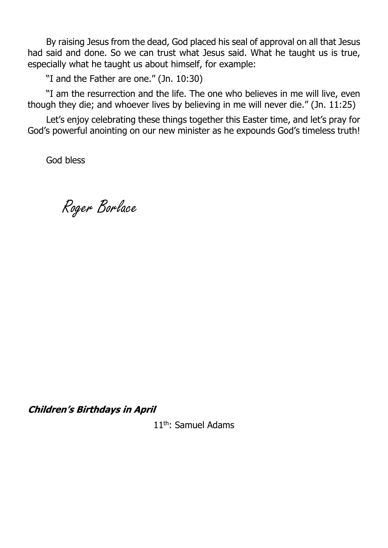By raising Jesus from the dead, God placed his seal of approval on all that Jesus had said and done. So we can trust what Jesus said. What he taught us is true, especially what he taught us about himself, for example:

"I and the Father are one." (Jn. 10:30)

"I am the resurrection and the life. The one who believes in me will live, even though they die; and whoever lives by believing in me will never die." (Jn. 11:25)

Let's enjoy celebrating these things together this Easter time, and let's pray for God's powerful anointing on our new minister as he expounds God's timeless truth!

God bless

Roger Borlace

**Children's Birthdays in April** 

11th: Samuel Adams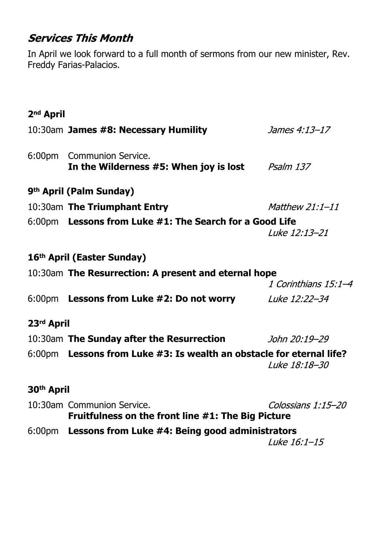## **Services This Month**

In April we look forward to a full month of sermons from our new minister, Rev. Freddy Farias-Palacios.

# **2nd April**

|                        | 10:30am James #8: Necessary Humility                                             | James 4:13-17          |  |
|------------------------|----------------------------------------------------------------------------------|------------------------|--|
|                        | 6:00pm Communion Service.<br>In the Wilderness #5: When joy is lost $Psalm$ 137  |                        |  |
|                        | 9 <sup>th</sup> April (Palm Sunday)                                              |                        |  |
|                        | 10:30am The Triumphant Entry                                                     | <i>Matthew 21:1-11</i> |  |
|                        | 6:00pm Lessons from Luke #1: The Search for a Good Life                          | Luke 12:13-21          |  |
|                        | 16 <sup>th</sup> April (Easter Sunday)                                           |                        |  |
|                        | 10:30am The Resurrection: A present and eternal hope                             | 1 Corinthians 15:1-4   |  |
|                        | 6:00pm Lessons from Luke #2: Do not worry                                        | Luke 12:22-34          |  |
| 23rd April             |                                                                                  |                        |  |
|                        | 10:30am The Sunday after the Resurrection <i>John 20:19-29</i>                   |                        |  |
|                        | 6:00pm Lessons from Luke #3: Is wealth an obstacle for eternal life?             | Luke 18:18-30          |  |
| 30 <sup>th</sup> April |                                                                                  |                        |  |
|                        | 10:30am Communion Service.<br>Fruitfulness on the front line #1: The Big Picture | Colossians 1:15-20     |  |
|                        | 6:00pm Lessons from Luke #4: Being good administrators                           |                        |  |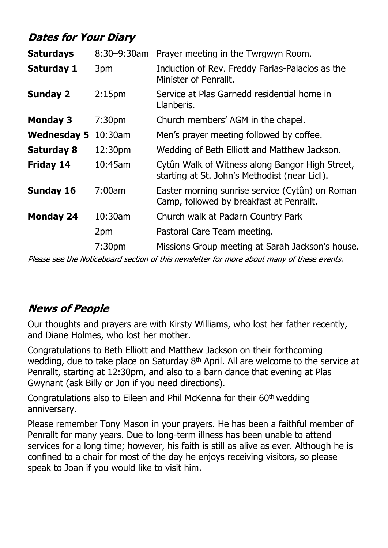# **Dates for Your Diary**

| <b>Saturdays</b>   | $8:30 - 9:30$ am   | Prayer meeting in the Twrgwyn Room.                                                              |
|--------------------|--------------------|--------------------------------------------------------------------------------------------------|
| <b>Saturday 1</b>  | 3pm                | Induction of Rev. Freddy Farias-Palacios as the<br>Minister of Penrallt.                         |
| <b>Sunday 2</b>    | 2:15 <sub>pm</sub> | Service at Plas Garnedd residential home in<br>Llanberis.                                        |
| <b>Monday 3</b>    | 7:30 <sub>pm</sub> | Church members' AGM in the chapel.                                                               |
| <b>Wednesday 5</b> | $10:30$ am         | Men's prayer meeting followed by coffee.                                                         |
| <b>Saturday 8</b>  | 12:30pm            | Wedding of Beth Elliott and Matthew Jackson.                                                     |
| <b>Friday 14</b>   | 10:45am            | Cytûn Walk of Witness along Bangor High Street,<br>starting at St. John's Methodist (near Lidl). |
| <b>Sunday 16</b>   | 7:00am             | Easter morning sunrise service (Cytûn) on Roman<br>Camp, followed by breakfast at Penrallt.      |
| <b>Monday 24</b>   | 10:30am            | Church walk at Padarn Country Park                                                               |
|                    | 2pm                | Pastoral Care Team meeting.                                                                      |
|                    | 7:30 <sub>pm</sub> | Missions Group meeting at Sarah Jackson's house.                                                 |
|                    |                    |                                                                                                  |

Please see the Noticeboard section of this newsletter for more about many of these events.

## **News of People**

Our thoughts and prayers are with Kirsty Williams, who lost her father recently, and Diane Holmes, who lost her mother.

Congratulations to Beth Elliott and Matthew Jackson on their forthcoming wedding, due to take place on Saturday 8th April. All are welcome to the service at Penrallt, starting at 12:30pm, and also to a barn dance that evening at Plas Gwynant (ask Billy or Jon if you need directions).

Congratulations also to Eileen and Phil McKenna for their 60th wedding anniversary.

Please remember Tony Mason in your prayers. He has been a faithful member of Penrallt for many years. Due to long-term illness has been unable to attend services for a long time; however, his faith is still as alive as ever. Although he is confined to a chair for most of the day he enjoys receiving visitors, so please speak to Joan if you would like to visit him.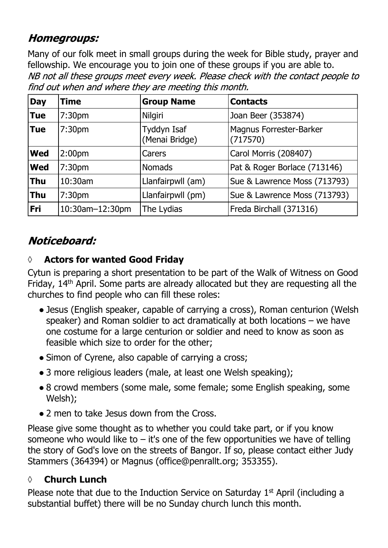## **Homegroups:**

Many of our folk meet in small groups during the week for Bible study, prayer and fellowship. We encourage you to join one of these groups if you are able to.NB not all these groups meet every week. Please check with the contact people to find out when and where they are meeting this month.

| <b>Day</b> | <b>Time</b>        | <b>Group Name</b>             | <b>Contacts</b>                     |
|------------|--------------------|-------------------------------|-------------------------------------|
| <b>Tue</b> | 7:30 <sub>pm</sub> | Nilgiri                       | Joan Beer (353874)                  |
| <b>Tue</b> | 7:30 <sub>pm</sub> | Tyddyn Isaf<br>(Menai Bridge) | Magnus Forrester-Barker<br>(717570) |
| <b>Wed</b> | 2:00 <sub>pm</sub> | Carers                        | Carol Morris (208407)               |
| <b>Wed</b> | 7:30 <sub>pm</sub> | <b>Nomads</b>                 | Pat & Roger Borlace (713146)        |
| <b>Thu</b> | 10:30am            | Llanfairpwll (am)             | Sue & Lawrence Moss (713793)        |
| <b>Thu</b> | 7:30pm             | Llanfairpwll (pm)             | Sue & Lawrence Moss (713793)        |
| Fri        | 10:30am-12:30pm    | The Lydias                    | Freda Birchall (371316)             |

# Noticeboard:

### **◊ Actors for wanted Good Friday**

Cytun is preparing a short presentation to be part of the Walk of Witness on Good Friday, 14th April. Some parts are already allocated but they are requesting all the churches to find people who can fill these roles:

- Jesus (English speaker, capable of carrying a cross), Roman centurion (Welsh speaker) and Roman soldier to act dramatically at both locations – we have one costume for a large centurion or soldier and need to know as soon as feasible which size to order for the other;
- Simon of Cyrene, also capable of carrying a cross;
- 3 more religious leaders (male, at least one Welsh speaking);
- 8 crowd members (some male, some female; some English speaking, some Welsh);
- 2 men to take Jesus down from the Cross.

Please give some thought as to whether you could take part, or if you know someone who would like to  $-$  it's one of the few opportunities we have of telling the story of God's love on the streets of Bangor. If so, please contact either Judy Stammers (364394) or Magnus (office@penrallt.org; 353355).

### **◊ Church Lunch**

Please note that due to the Induction Service on Saturday 1<sup>st</sup> April (including a substantial buffet) there will be no Sunday church lunch this month.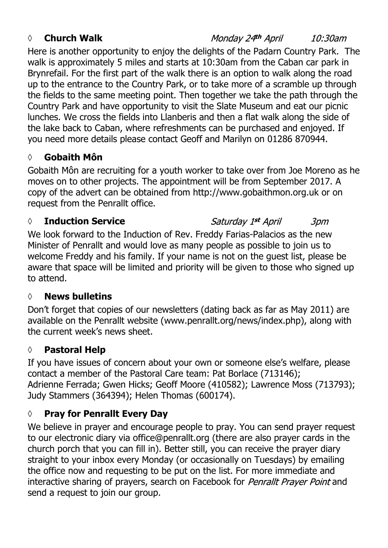#### *◊* **Church Walk**

Monday 24th April 10:30am

Here is another opportunity to enjoy the delights of the Padarn Country Park. The walk is approximately 5 miles and starts at 10:30am from the Caban car park in Brynrefail. For the first part of the walk there is an option to walk along the road up to the entrance to the Country Park, or to take more of a scramble up through the fields to the same meeting point. Then together we take the path through the Country Park and have opportunity to visit the Slate Museum and eat our picnic lunches. We cross the fields into Llanberis and then a flat walk along the side of the lake back to Caban, where refreshments can be purchased and enjoyed. If you need more details please contact Geoff and Marilyn on 01286 870944.

### **◊ Gobaith Môn**

Gobaith Môn are recruiting for a youth worker to take over from Joe Moreno as he moves on to other projects. The appointment will be from September 2017. A copy of the advert can be obtained from http://www.gobaithmon.org.uk or on request from the Penrallt office.

#### *◊* **Induction Service**

Saturday 1st April 3pm We look forward to the Induction of Rev. Freddy Farias-Palacios as the new Minister of Penrallt and would love as many people as possible to join us to welcome Freddy and his family. If your name is not on the guest list, please be aware that space will be limited and priority will be given to those who signed up to attend.

#### **◊ News bulletins**

Don't forget that copies of our newsletters (dating back as far as May 2011) are available on the Penrallt website (www.penrallt.org/news/index.php), along with the current week's news sheet.

#### **◊ Pastoral Help**

If you have issues of concern about your own or someone else's welfare, please contact a member of the Pastoral Care team: Pat Borlace (713146); Adrienne Ferrada; Gwen Hicks; Geoff Moore (410582); Lawrence Moss (713793); Judy Stammers (364394); Helen Thomas (600174).

### **◊ Pray for Penrallt Every Day**

We believe in prayer and encourage people to pray. You can send prayer request to our electronic diary via office@penrallt.org (there are also prayer cards in the church porch that you can fill in). Better still, you can receive the prayer diary straight to your inbox every Monday (or occasionally on Tuesdays) by emailing the office now and requesting to be put on the list. For more immediate and interactive sharing of prayers, search on Facebook for Penrallt Prayer Point and send a request to join our group.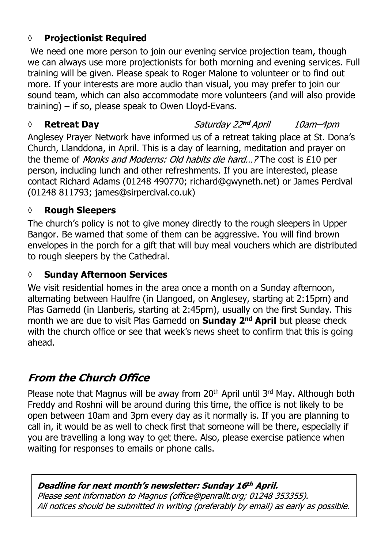### **◊ Projectionist Required**

We need one more person to join our evening service projection team, though we can always use more projectionists for both morning and evening services. Full training will be given. Please speak to Roger Malone to volunteer or to find out more. If your interests are more audio than visual, you may prefer to join our sound team, which can also accommodate more volunteers (and will also provide training) – if so, please speak to Owen Lloyd-Evans.

#### *◊* **Retreat Day**

Saturday 22nd April 10am-4pm

Anglesey Prayer Network have informed us of a retreat taking place at St. Dona's Church, Llanddona, in April. This is a day of learning, meditation and prayer on the theme of *Monks and Moderns: Old habits die hard...?* The cost is £10 per person, including lunch and other refreshments. If you are interested, please contact Richard Adams (01248 490770; richard@gwyneth.net) or James Percival (01248 811793; james@sirpercival.co.uk)

### **◊ Rough Sleepers**

The church's policy is not to give money directly to the rough sleepers in Upper Bangor. Be warned that some of them can be aggressive. You will find brown envelopes in the porch for a gift that will buy meal vouchers which are distributed to rough sleepers by the Cathedral.

#### **◊ Sunday Afternoon Services**

We visit residential homes in the area once a month on a Sunday afternoon, alternating between Haulfre (in Llangoed, on Anglesey, starting at 2:15pm) and Plas Garnedd (in Llanberis, starting at 2:45pm), usually on the first Sunday. This month we are due to visit Plas Garnedd on **Sunday 2nd April** but please check with the church office or see that week's news sheet to confirm that this is going ahead.

## **From the Church Office**

Please note that Magnus will be away from 20<sup>th</sup> April until 3<sup>rd</sup> May. Although both Freddy and Roshni will be around during this time, the office is not likely to be open between 10am and 3pm every day as it normally is. If you are planning to call in, it would be as well to check first that someone will be there, especially if you are travelling a long way to get there. Also, please exercise patience when waiting for responses to emails or phone calls.

#### Deadline for next month's newsletter: Sunday 16th April.

Please sent information to Magnus (office@penrallt.org; 01248 353355). All notices should be submitted in writing (preferably by email) as early as possible.